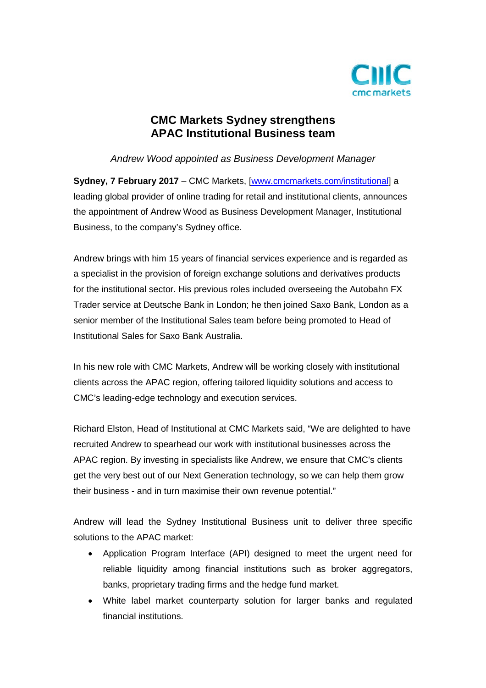

# **CMC Markets Sydney strengthens APAC Institutional Business team**

## *Andrew Wood appointed as Business Development Manager*

**Sydney, 7 February 2017** – CMC Markets, [\[www.cmcmarkets.com/institutional\]](http://www.cmcmarkets.com/institutional) a leading global provider of online trading for retail and institutional clients, announces the appointment of Andrew Wood as Business Development Manager, Institutional Business, to the company's Sydney office.

Andrew brings with him 15 years of financial services experience and is regarded as a specialist in the provision of foreign exchange solutions and derivatives products for the institutional sector. His previous roles included overseeing the Autobahn FX Trader service at Deutsche Bank in London; he then joined Saxo Bank, London as a senior member of the Institutional Sales team before being promoted to Head of Institutional Sales for Saxo Bank Australia.

In his new role with CMC Markets, Andrew will be working closely with institutional clients across the APAC region, offering tailored liquidity solutions and access to CMC's leading-edge technology and execution services.

Richard Elston, Head of Institutional at CMC Markets said, "We are delighted to have recruited Andrew to spearhead our work with institutional businesses across the APAC region. By investing in specialists like Andrew, we ensure that CMC's clients get the very best out of our Next Generation technology, so we can help them grow their business - and in turn maximise their own revenue potential."

Andrew will lead the Sydney Institutional Business unit to deliver three specific solutions to the APAC market:

- Application Program Interface (API) designed to meet the urgent need for reliable liquidity among financial institutions such as broker aggregators, banks, proprietary trading firms and the hedge fund market.
- White label market counterparty solution for larger banks and regulated financial institutions.